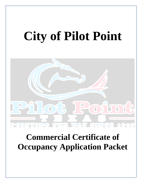# **City of Pilot Point**



# **Commercial Certificate of Occupancy Application Packet**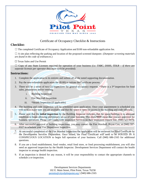

# Certificate of Occupancy Checklist & Instructions

#### **Checklist:**

 $\Box$  The completed Certificate of Occupancy Application and \$100 non-refundable application fee.

 $\Box$  A site plan reflecting the parking and location of the proposed screened dumpster. (*Dumpster screening materials are found in the code of ordinances*.)

☐ Texas Sales and Use Permit

☐ Copy of any State Licenses required for operation of your business *(i.e. TABC, DSHS, TDLR – if there are separate licenses per operator they must each be provided).*

#### **Instructions:**

- 1. Complete the application in its entirety and submit all of the noted supporting documentation.
- 2. Pay the non-refundable application fee (\$100) to initiate the Certificate process.
- 3. There will be a series of two (2) inspections for general occupancy requests. \*There is a 3<sup>rd</sup> inspection for food sales, preparation and/or vending.
	- i. Building Inspection
	- ii. Fire Marshall Inspection
	- iii. \*Health Inspection (if applicable)
- 4. The building and code inspection will be scheduled upon application. Once your appointment is scheduled you will need to make sure you are available and that the space is open for access to the building and code officials.
- 5. Please note that the **initial inspection** by the Building Inspector indicates that the space/building is in adequate condition to begin allowing preliminary set-up of your business. This does **NOT** mean that you are approved for business operations. Please call Countywide Inspection Services on their inspection request line, (940) 521-0470.
- 6. After successful approval of building inspections, you may contact the Fire Marshall, Bryan Cox, at (940) 597- 0327 to schedule your Fire Department Inspection.
- 7. At successful completion of the Fire Marshal Inspection the application will be reviewed for Final Certificate by the Development Services Department. Once issued, the Final Certificate will need to be POSTED IN A CONSPICUOUS LOCATION to begin full operation of your business. Call (940) 686-2165 for additional questions.
- 8. If you are a food establishment, food vendor, retail food store, or food processing establishment, you will also need an approved inspection by the Health Inspector. Development Services Department will contact the health inspector to arrange health inspection.
- 9. If an inspection is denied for any reason, it will be your responsibility to contact the appropriate channels to schedule a re-inspection.

Development Services Departments 102 E. Main Street, Pilot Point, Texas 76258 [permits@cityofpilotpoint.org](mailto:permits@cityofpilotpoint.org) | (940) 686-2165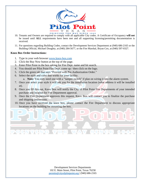

- 10. Tenants and Owners are required to comply with all applicable City codes. A Certificate of Occupancy **will not** be issued until **ALL** requirements have been met and all supporting licensing/permitting documentation is received.
- 11. For questions regarding Building Codes, contact the Development Services Department at (940) 686-2165 or the Building Official, Michael Doughty, at (940) 284-5677, or the Fire Marshal, Bryan Cox, at (940) 597-0327.

#### **Knox Box Order Instructions:**

(POLINTING

- 1. Type in your web browser [www.knox-box.com](http://www.knox-box.com)
- 2. Click the Buy Now button at the top of the page.
- 3. Enter Pilot Point in the box asking for Fire Dept. name and hit search.
- 4. You should see Pilot Point Fire Dept. come up / then click on the logo.
- 5. Click the green tab that says "Proceed with Pre-Authorization Order."
- 6. Select the style and color that works for your facility.
	- a. **Note:** You only need one with a "tamper switch" if plan on wiring it into the alarm system.
- 7. Once you select your style it will ask you for the installation location (what address it will be installed at).
- 8. Once you fill this out, Knox Box will notify the City of Pilot Point Fire Departments of your intended purchase and location for Fire Department approval.
- 9. Once the Fire Department approves this request, Knox Box will contact you to finalize the purchase and shipping instructions.
- 10. Once you have received the knox box, please contact the Fire Department to discuss appropriate locations on the building for mounting the box.

**SINGE** 



 $11.10$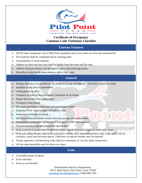

# **Certificate of Occupancy Common Code Violations Checklist**

## **Exterior Features**

- o All fire lanes striped per City of Pilot Point standards and access roads are clear and unobstructed.
- o Fire hydrants shall be completed and in working order.
- o Accumulation of waste material.
- o Address on front and rear exits shall be legible from the street and fire lane.
- o Address listing on electric and gas meters and/or disconnecting means.
- o Knox Box located at the main entrance and/or riser room.

### **General**

- o Storage clearance: un-sprinklered –24 inches to ceiling; sprinklered 18 inches to sprinkler heads.
- o Sprinkler heads clear of paint/debris.
- o Ceiling panels in place.
- o Clearance in front of electrical panel a minimum of 36 inches.
- o Empty slots in electrical panels filled.
- o Occupancy load posted.
- o Fire rated assemblies constructed and penetrations sealed.
- o Extension Cord / multi‐adapter utilized per code.
- o Abatement of electrical hazards.
- o Mechanical/electrical/boiler rooms free from storage and combustibles.
- o Flammables/combustible liquids stored in proper location and container.
- o General housekeeping and precautions against fire.
- o Slots in electrical panels must be filled by blanks and all electrical receptacles have cover plates
- o Wall and ceiling finishes shall be in accordance with the 2015 International Fire Code, Table 806.3, for all corridors, rooms and enclosed spaces. Field tests on interior finishes may be required.

**Contract** 

- o Tenant separation wall/demising walls shall be a minimum of 1‐hr fire rated construction.
- o All fire rated assemblies and fire doors are intact.

#### **Exits**

- o Accessible means of egress.
- o Exits unlocked.
- Exits are not blocked

Development Services Departments 102 E. Main Street, Pilot Point, Texas 76258 [permits@cityofpilotpoint.org](mailto:permits@cityofpilotpoint.org) | (940) 686-2165